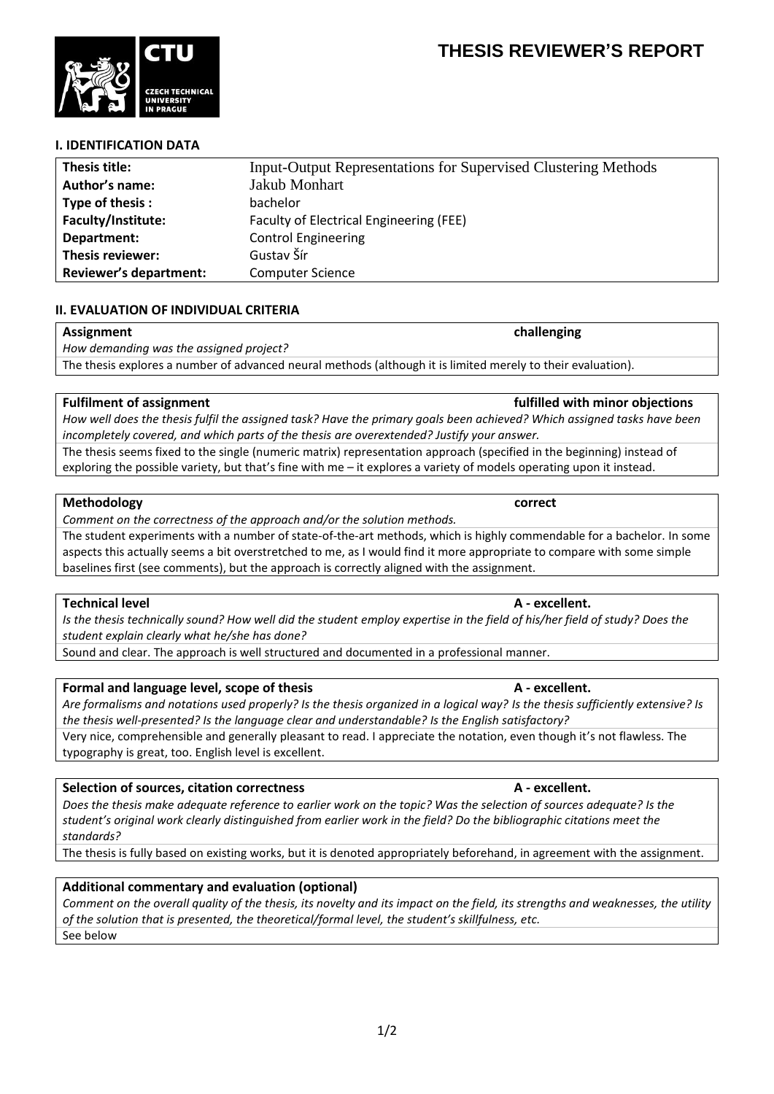# **I. IDENTIFICATION DATA**

| Thesis title:                 | <b>Input-Output Representations for Supervised Clustering Methods</b> |
|-------------------------------|-----------------------------------------------------------------------|
| Author's name:                | <b>Jakub Monhart</b>                                                  |
| Type of thesis:               | bachelor                                                              |
| Faculty/Institute:            | Faculty of Electrical Engineering (FEE)                               |
| Department:                   | <b>Control Engineering</b>                                            |
| Thesis reviewer:              | Gustav Šír                                                            |
| <b>Reviewer's department:</b> | <b>Computer Science</b>                                               |

### **II. EVALUATION OF INDIVIDUAL CRITERIA**

*How demanding was the assigned project?*

**Fulfilment of assignment fulfilled with minor objections** *How well does the thesis fulfil the assigned task? Have the primary goals been achieved? Which assigned tasks have been incompletely covered, and which parts of the thesis are overextended? Justify your answer.*

The thesis seems fixed to the single (numeric matrix) representation approach (specified in the beginning) instead of exploring the possible variety, but that's fine with me – it explores a variety of models operating upon it instead.

The thesis explores a number of advanced neural methods (although it is limited merely to their evaluation).

### **Methodology correct**

*Comment on the correctness of the approach and/or the solution methods.*

The student experiments with a number of state-of-the-art methods, which is highly commendable for a bachelor. In some aspects this actually seems a bit overstretched to me, as I would find it more appropriate to compare with some simple baselines first (see comments), but the approach is correctly aligned with the assignment.

### **Technical level A - excellent.**

*Is the thesis technically sound? How well did the student employ expertise in the field of his/her field of study? Does the student explain clearly what he/she has done?*

Sound and clear. The approach is well structured and documented in a professional manner.

### **Formal and language level, scope of thesis A - excellent.**

*Are formalisms and notations used properly? Is the thesis organized in a logical way? Is the thesis sufficiently extensive? Is the thesis well-presented? Is the language clear and understandable? Is the English satisfactory?*

Very nice, comprehensible and generally pleasant to read. I appreciate the notation, even though it's not flawless. The typography is great, too. English level is excellent.

# **Selection of sources, citation correctness A - excellent.**

*Does the thesis make adequate reference to earlier work on the topic? Was the selection of sources adequate? Is the student's original work clearly distinguished from earlier work in the field? Do the bibliographic citations meet the standards?*

The thesis is fully based on existing works, but it is denoted appropriately beforehand, in agreement with the assignment.

# **Additional commentary and evaluation (optional)**

*Comment on the overall quality of the thesis, its novelty and its impact on the field, its strengths and weaknesses, the utility of the solution that is presented, the theoretical/formal level, the student's skillfulness, etc.* See below

1/2

**Assignment challenging**